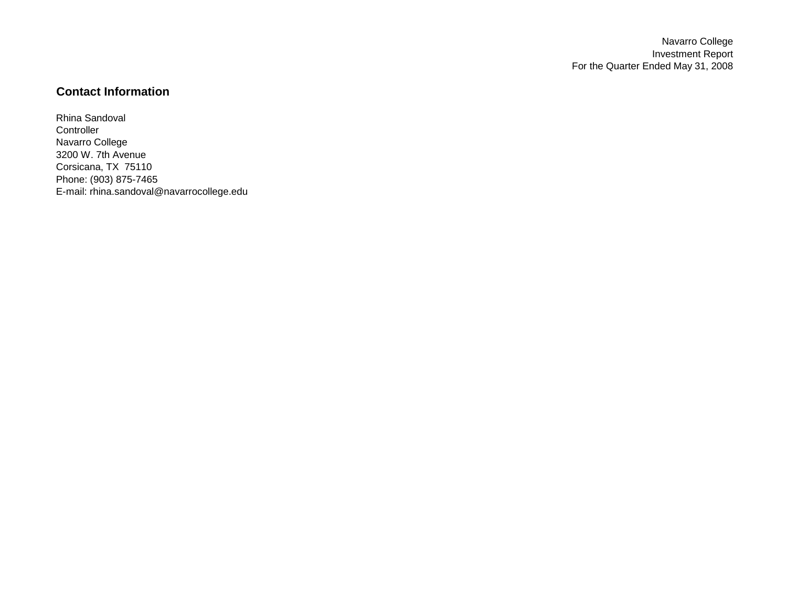Navarro College Investment Report For the Quarter Ended May 31, 2008

# **Contact Information**

Rhina Sandoval **Controller** Navarro College 3200 W. 7th Avenue Corsicana, TX 75110 Phone: (903) 875-7465 E-mail: rhina.sandoval@navarrocollege.edu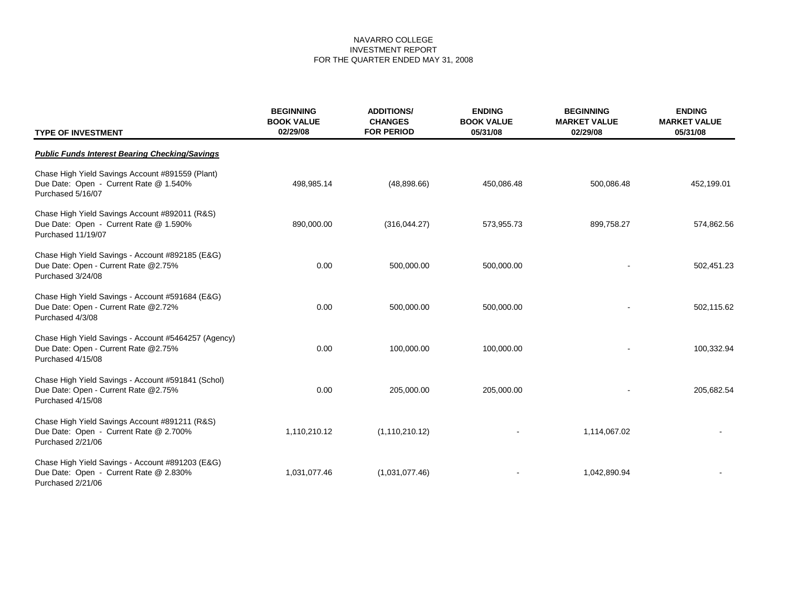| <b>TYPE OF INVESTMENT</b>                                                                                         | <b>BEGINNING</b><br><b>BOOK VALUE</b><br>02/29/08 | <b>ADDITIONS/</b><br><b>ENDING</b><br><b>CHANGES</b><br><b>BOOK VALUE</b><br><b>FOR PERIOD</b><br>05/31/08 |            | <b>BEGINNING</b><br><b>MARKET VALUE</b><br>02/29/08 | <b>ENDING</b><br><b>MARKET VALUE</b><br>05/31/08 |  |
|-------------------------------------------------------------------------------------------------------------------|---------------------------------------------------|------------------------------------------------------------------------------------------------------------|------------|-----------------------------------------------------|--------------------------------------------------|--|
| <b>Public Funds Interest Bearing Checking/Savings</b>                                                             |                                                   |                                                                                                            |            |                                                     |                                                  |  |
| Chase High Yield Savings Account #891559 (Plant)<br>Due Date: Open - Current Rate @ 1.540%<br>Purchased 5/16/07   | 498,985.14                                        | (48,898.66)                                                                                                | 450,086.48 | 500,086.48                                          | 452,199.01                                       |  |
| Chase High Yield Savings Account #892011 (R&S)<br>Due Date: Open - Current Rate @ 1.590%<br>Purchased 11/19/07    | 890,000.00                                        | (316,044.27)                                                                                               | 573,955.73 | 899,758.27                                          | 574,862.56                                       |  |
| Chase High Yield Savings - Account #892185 (E&G)<br>Due Date: Open - Current Rate @2.75%<br>Purchased 3/24/08     | 0.00                                              | 500,000.00                                                                                                 | 500,000.00 |                                                     | 502,451.23                                       |  |
| Chase High Yield Savings - Account #591684 (E&G)<br>Due Date: Open - Current Rate @2.72%<br>Purchased 4/3/08      | 0.00                                              | 500,000.00                                                                                                 | 500,000.00 |                                                     | 502,115.62                                       |  |
| Chase High Yield Savings - Account #5464257 (Agency)<br>Due Date: Open - Current Rate @2.75%<br>Purchased 4/15/08 | 0.00                                              | 100,000.00                                                                                                 | 100,000.00 |                                                     | 100,332.94                                       |  |
| Chase High Yield Savings - Account #591841 (Schol)<br>Due Date: Open - Current Rate @2.75%<br>Purchased 4/15/08   | 0.00                                              | 205,000.00                                                                                                 | 205,000.00 |                                                     | 205,682.54                                       |  |
| Chase High Yield Savings Account #891211 (R&S)<br>Due Date: Open - Current Rate @ 2.700%<br>Purchased 2/21/06     | 1,110,210.12                                      | (1, 110, 210.12)                                                                                           |            | 1,114,067.02                                        |                                                  |  |
| Chase High Yield Savings - Account #891203 (E&G)<br>Due Date: Open - Current Rate @ 2.830%<br>Purchased 2/21/06   | 1,031,077.46                                      | (1,031,077.46)                                                                                             |            | 1,042,890.94                                        |                                                  |  |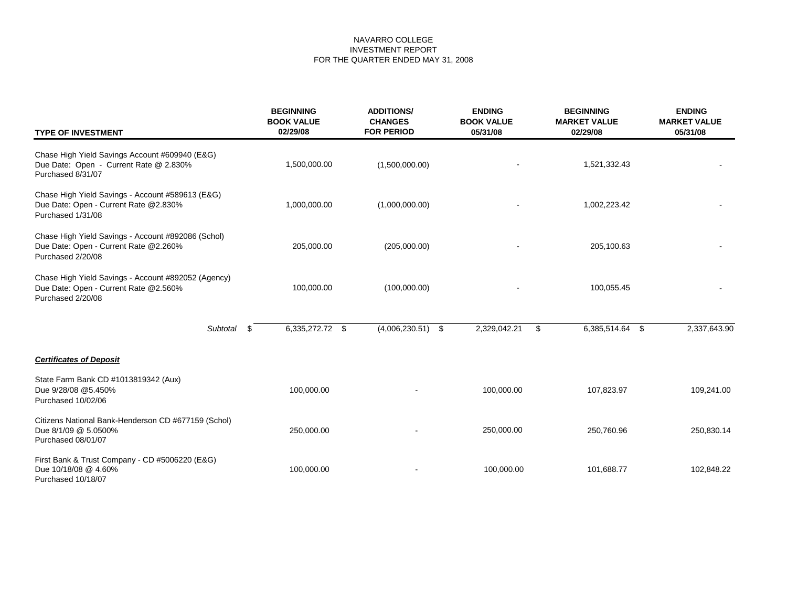| <b>TYPE OF INVESTMENT</b>                                                                                         | <b>BEGINNING</b><br><b>BOOK VALUE</b><br>02/29/08 | <b>ADDITIONS/</b><br><b>CHANGES</b><br><b>FOR PERIOD</b> | <b>ENDING</b><br><b>BOOK VALUE</b><br>05/31/08 | <b>BEGINNING</b><br><b>MARKET VALUE</b><br>02/29/08 | <b>ENDING</b><br><b>MARKET VALUE</b><br>05/31/08 |  |
|-------------------------------------------------------------------------------------------------------------------|---------------------------------------------------|----------------------------------------------------------|------------------------------------------------|-----------------------------------------------------|--------------------------------------------------|--|
| Chase High Yield Savings Account #609940 (E&G)<br>Due Date: Open - Current Rate @ 2.830%<br>Purchased 8/31/07     | 1,500,000.00                                      | (1,500,000.00)                                           |                                                | 1,521,332.43                                        |                                                  |  |
| Chase High Yield Savings - Account #589613 (E&G)<br>Due Date: Open - Current Rate @2.830%<br>Purchased 1/31/08    | 1,000,000.00                                      | (1,000,000.00)                                           |                                                | 1,002,223.42                                        |                                                  |  |
| Chase High Yield Savings - Account #892086 (Schol)<br>Due Date: Open - Current Rate @2.260%<br>Purchased 2/20/08  | 205,000.00                                        | (205,000.00)                                             |                                                | 205,100.63                                          |                                                  |  |
| Chase High Yield Savings - Account #892052 (Agency)<br>Due Date: Open - Current Rate @2.560%<br>Purchased 2/20/08 | 100,000.00                                        | (100,000.00)                                             |                                                | 100,055.45                                          |                                                  |  |
| Subtotal                                                                                                          | 6,335,272.72 \$<br>\$.                            | $(4,006,230.51)$ \$                                      | 2,329,042.21                                   | \$<br>6,385,514.64 \$                               | 2,337,643.90                                     |  |
| <b>Certificates of Deposit</b>                                                                                    |                                                   |                                                          |                                                |                                                     |                                                  |  |
| State Farm Bank CD #1013819342 (Aux)<br>Due 9/28/08 @5.450%<br>Purchased 10/02/06                                 | 100,000.00                                        |                                                          | 100,000.00                                     | 107,823.97                                          | 109,241.00                                       |  |
| Citizens National Bank-Henderson CD #677159 (Schol)<br>Due 8/1/09 @ 5.0500%<br>Purchased 08/01/07                 | 250,000.00                                        |                                                          | 250,000.00                                     | 250,760.96                                          | 250,830.14                                       |  |
| First Bank & Trust Company - CD #5006220 (E&G)<br>Due 10/18/08 @ 4.60%<br>Purchased 10/18/07                      | 100,000.00                                        |                                                          | 100,000.00                                     | 101,688.77                                          | 102,848.22                                       |  |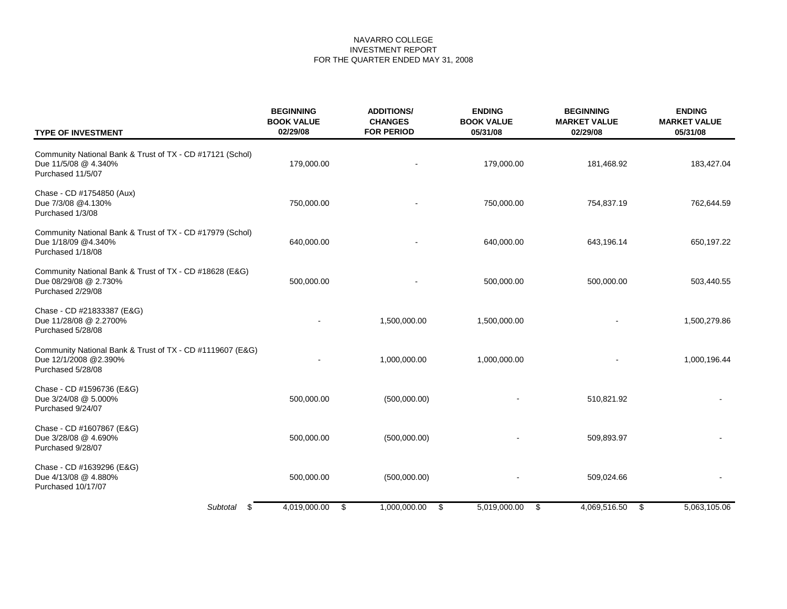| <b>TYPE OF INVESTMENT</b>                                                                               | <b>BEGINNING</b><br><b>BOOK VALUE</b><br>02/29/08 | <b>ADDITIONS/</b><br><b>CHANGES</b><br><b>FOR PERIOD</b> | <b>ENDING</b><br><b>BOOK VALUE</b><br>05/31/08 | <b>BEGINNING</b><br><b>MARKET VALUE</b><br>02/29/08 | <b>ENDING</b><br><b>MARKET VALUE</b><br>05/31/08 |
|---------------------------------------------------------------------------------------------------------|---------------------------------------------------|----------------------------------------------------------|------------------------------------------------|-----------------------------------------------------|--------------------------------------------------|
| Community National Bank & Trust of TX - CD #17121 (Schol)<br>Due 11/5/08 @ 4.340%<br>Purchased 11/5/07  | 179,000.00                                        |                                                          | 179,000.00                                     | 181,468.92                                          | 183,427.04                                       |
| Chase - CD #1754850 (Aux)<br>Due 7/3/08 @4.130%<br>Purchased 1/3/08                                     | 750,000.00                                        |                                                          | 750,000.00                                     | 754,837.19                                          | 762,644.59                                       |
| Community National Bank & Trust of TX - CD #17979 (Schol)<br>Due 1/18/09 @4.340%<br>Purchased 1/18/08   | 640,000.00                                        |                                                          | 640,000.00                                     | 643,196.14                                          | 650,197.22                                       |
| Community National Bank & Trust of TX - CD #18628 (E&G)<br>Due 08/29/08 @ 2.730%<br>Purchased 2/29/08   | 500,000.00                                        |                                                          | 500,000.00                                     | 500,000.00                                          | 503,440.55                                       |
| Chase - CD #21833387 (E&G)<br>Due 11/28/08 @ 2.2700%<br>Purchased 5/28/08                               |                                                   | 1,500,000.00                                             | 1,500,000.00                                   |                                                     | 1,500,279.86                                     |
| Community National Bank & Trust of TX - CD #1119607 (E&G)<br>Due 12/1/2008 @2.390%<br>Purchased 5/28/08 |                                                   | 1,000,000.00                                             | 1,000,000.00                                   |                                                     | 1,000,196.44                                     |
| Chase - CD #1596736 (E&G)<br>Due 3/24/08 @ 5.000%<br>Purchased 9/24/07                                  | 500,000.00                                        | (500,000.00)                                             |                                                | 510,821.92                                          |                                                  |
| Chase - CD #1607867 (E&G)<br>Due 3/28/08 @ 4.690%<br>Purchased 9/28/07                                  | 500,000.00                                        | (500,000.00)                                             |                                                | 509,893.97                                          |                                                  |
| Chase - CD #1639296 (E&G)<br>Due 4/13/08 @ 4.880%<br>Purchased 10/17/07                                 | 500,000.00                                        | (500,000.00)                                             |                                                | 509,024.66                                          |                                                  |
| Subtotal \$                                                                                             | 4,019,000.00<br>\$                                | 1,000,000.00<br>\$                                       | 5,019,000.00<br>\$                             | 4,069,516.50<br>\$                                  | 5,063,105.06                                     |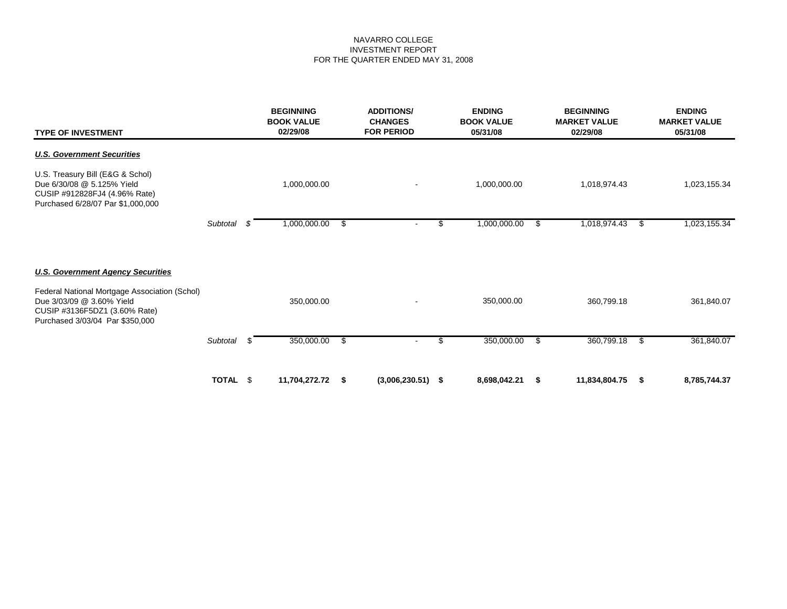| <b>TYPE OF INVESTMENT</b>                                                                                                                      | <b>ADDITIONS/</b><br><b>ENDING</b><br><b>BEGINNING</b><br><b>BOOK VALUE</b><br><b>CHANGES</b><br>02/29/08<br><b>FOR PERIOD</b><br>05/31/08 |    |               |    | <b>BOOK VALUE</b>   | <b>BEGINNING</b><br><b>MARKET VALUE</b><br>02/29/08 |              |      | <b>ENDING</b><br><b>MARKET VALUE</b><br>05/31/08 |     |              |
|------------------------------------------------------------------------------------------------------------------------------------------------|--------------------------------------------------------------------------------------------------------------------------------------------|----|---------------|----|---------------------|-----------------------------------------------------|--------------|------|--------------------------------------------------|-----|--------------|
| <b>U.S. Government Securities</b>                                                                                                              |                                                                                                                                            |    |               |    |                     |                                                     |              |      |                                                  |     |              |
| U.S. Treasury Bill (E&G & Schol)<br>Due 6/30/08 @ 5.125% Yield<br>CUSIP #912828FJ4 (4.96% Rate)<br>Purchased 6/28/07 Par \$1,000,000           |                                                                                                                                            |    | 1,000,000.00  |    |                     |                                                     | 1,000,000.00 |      | 1,018,974.43                                     |     | 1,023,155.34 |
|                                                                                                                                                | Subtotal                                                                                                                                   | S  | 1,000,000.00  | \$ |                     | \$                                                  | 1,000,000.00 | \$   | 1,018,974.43                                     | \$  | 1,023,155.34 |
| <b>U.S. Government Agency Securities</b>                                                                                                       |                                                                                                                                            |    |               |    |                     |                                                     |              |      |                                                  |     |              |
| Federal National Mortgage Association (Schol)<br>Due 3/03/09 @ 3.60% Yield<br>CUSIP #3136F5DZ1 (3.60% Rate)<br>Purchased 3/03/04 Par \$350,000 |                                                                                                                                            |    | 350,000.00    |    |                     |                                                     | 350,000.00   |      | 360,799.18                                       |     | 361,840.07   |
|                                                                                                                                                | Subtotal                                                                                                                                   | £. | 350,000.00    | \$ |                     | \$                                                  | 350,000.00   | -\$  | 360,799.18                                       | -\$ | 361,840.07   |
|                                                                                                                                                | TOTAL \$                                                                                                                                   |    | 11,704,272.72 | S  | $(3,006,230.51)$ \$ |                                                     | 8,698,042.21 | - \$ | 11,834,804.75                                    | - 5 | 8,785,744.37 |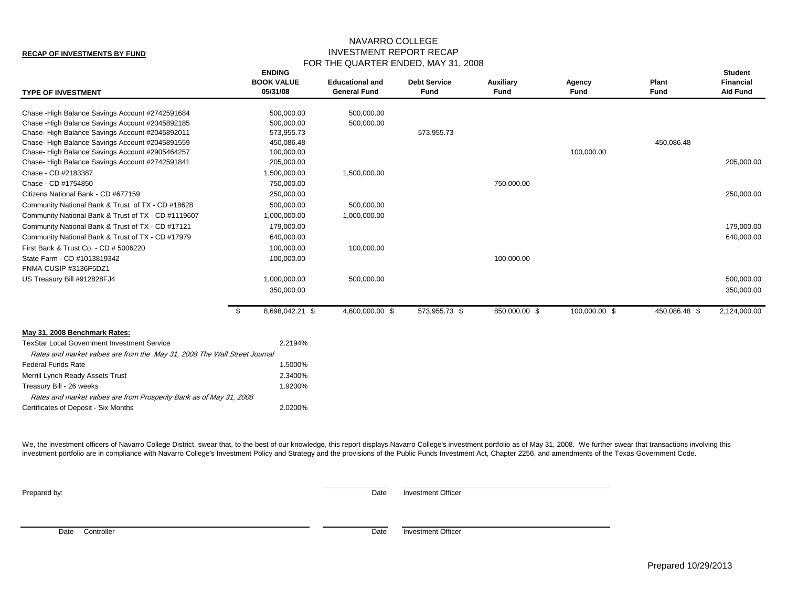#### **RECAP OF INVESTMENTS BY FUND**

## NAVARRO COLLEGE INVESTMENT REPORT RECAP FOR THE QUARTER ENDED, MAY 31, 2008

| <b>TYPE OF INVESTMENT</b>                                                                                                       |      | <b>ENDING</b><br><b>BOOK VALUE</b><br>05/31/08 | <b>Educational and</b><br><b>General Fund</b> | <b>Debt Service</b><br>Fund | Auxiliary<br><b>Fund</b> | Agency<br><b>Fund</b> | Plant<br><b>Fund</b> | <b>Student</b><br>Financial<br><b>Aid Fund</b> |
|---------------------------------------------------------------------------------------------------------------------------------|------|------------------------------------------------|-----------------------------------------------|-----------------------------|--------------------------|-----------------------|----------------------|------------------------------------------------|
| Chase - High Balance Savings Account #2742591684                                                                                |      | 500,000.00                                     | 500,000.00                                    |                             |                          |                       |                      |                                                |
| Chase - High Balance Savings Account #2045892185                                                                                |      | 500,000.00                                     | 500,000.00                                    |                             |                          |                       |                      |                                                |
| Chase-High Balance Savings Account #2045892011                                                                                  |      | 573,955.73                                     |                                               | 573,955.73                  |                          |                       |                      |                                                |
| Chase-High Balance Savings Account #2045891559                                                                                  |      | 450,086.48                                     |                                               |                             |                          |                       | 450,086.48           |                                                |
| Chase-High Balance Savings Account #2905464257                                                                                  |      | 100,000.00                                     |                                               |                             |                          | 100,000.00            |                      |                                                |
| Chase-High Balance Savings Account #2742591841                                                                                  |      | 205,000.00                                     |                                               |                             |                          |                       |                      | 205,000.00                                     |
| Chase - CD #2183387                                                                                                             |      | 1,500,000.00                                   | 1,500,000.00                                  |                             |                          |                       |                      |                                                |
| Chase - CD #1754850                                                                                                             |      | 750,000.00                                     |                                               |                             | 750,000.00               |                       |                      |                                                |
| Citizens National Bank - CD #677159                                                                                             |      | 250,000.00                                     |                                               |                             |                          |                       |                      | 250,000.00                                     |
| Community National Bank & Trust of TX - CD #18628                                                                               |      | 500,000.00                                     | 500,000.00                                    |                             |                          |                       |                      |                                                |
| Community National Bank & Trust of TX - CD #1119607                                                                             |      | 1,000,000.00                                   | 1,000,000.00                                  |                             |                          |                       |                      |                                                |
| Community National Bank & Trust of TX - CD #17121                                                                               |      | 179,000.00                                     |                                               |                             |                          |                       |                      | 179,000.00                                     |
| Community National Bank & Trust of TX - CD #17979                                                                               |      | 640,000.00                                     |                                               |                             |                          |                       |                      | 640,000.00                                     |
| First Bank & Trust Co. - CD # 5006220                                                                                           |      | 100,000.00                                     | 100,000.00                                    |                             |                          |                       |                      |                                                |
| State Farm - CD #1013819342                                                                                                     |      | 100,000.00                                     |                                               |                             | 100,000.00               |                       |                      |                                                |
| FNMA CUSIP #3136F5DZ1                                                                                                           |      |                                                |                                               |                             |                          |                       |                      |                                                |
| US Treasury Bill #912828FJ4                                                                                                     |      | 1,000,000.00                                   | 500,000.00                                    |                             |                          |                       |                      | 500,000.00                                     |
|                                                                                                                                 |      | 350,000.00                                     |                                               |                             |                          |                       |                      | 350,000.00                                     |
|                                                                                                                                 | - \$ | 8,698,042.21 \$                                | 4,600,000.00 \$                               | 573,955.73 \$               | 850,000.00 \$            | 100,000.00 \$         | 450,086.48 \$        | 2,124,000.00                                   |
| May 31, 2008 Benchmark Rates:                                                                                                   |      |                                                |                                               |                             |                          |                       |                      |                                                |
| <b>TexStar Local Government Investment Service</b><br>Rates and market values are from the May 31, 2008 The Wall Street Journal |      | 2.2194%                                        |                                               |                             |                          |                       |                      |                                                |
| <b>Federal Funds Rate</b>                                                                                                       |      | 1.5000%                                        |                                               |                             |                          |                       |                      |                                                |
| Merrill Lynch Ready Assets Trust                                                                                                |      | 2.3400%                                        |                                               |                             |                          |                       |                      |                                                |
| Treasury Bill - 26 weeks                                                                                                        |      | 1.9200%                                        |                                               |                             |                          |                       |                      |                                                |
| Rates and market values are from Prosperity Bank as of May 31, 2008                                                             |      |                                                |                                               |                             |                          |                       |                      |                                                |
| Certificates of Deposit - Six Months                                                                                            |      | 2.0200%                                        |                                               |                             |                          |                       |                      |                                                |

We, the investment officers of Navarro College District, swear that, to the best of our knowledge, this report displays Navarro College's investment portfolio as of May 31, 2008. We further swear that transactions involvin investment portfolio are in compliance with Navarro College's Investment Policy and Strategy and the provisions of the Public Funds Investment Act, Chapter 2256, and amendments of the Texas Government Code.

**Prepared by:** Date Investment Officer

Date Controller **Date** Investment Officer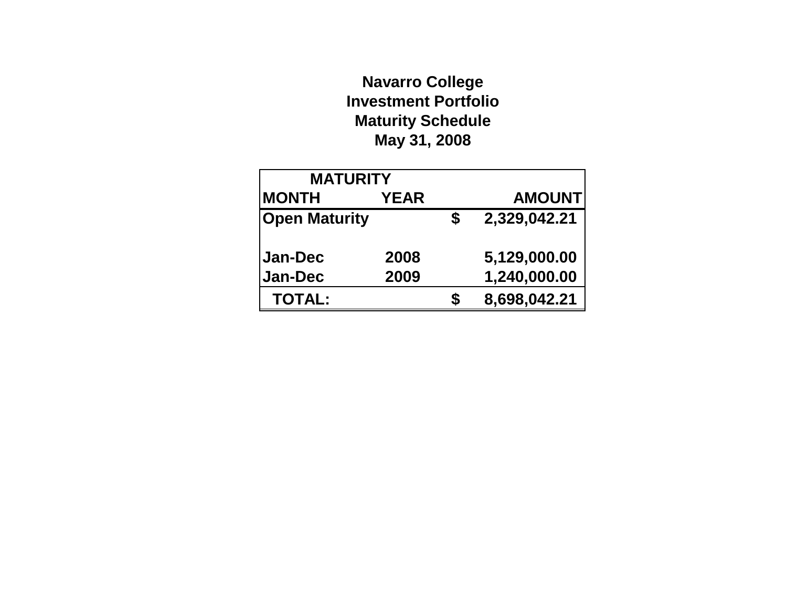# **Navarro College Investment Portfolio Maturity Schedule May 31, 2008**

| <b>MATURITY</b>      |             |              |               |
|----------------------|-------------|--------------|---------------|
| <b>MONTH</b>         | <b>YEAR</b> |              | <b>AMOUNT</b> |
| <b>Open Maturity</b> | S           | 2,329,042.21 |               |
|                      |             |              |               |
| <b>Jan-Dec</b>       | 2008        |              | 5,129,000.00  |
| <b>Jan-Dec</b>       | 2009        |              | 1,240,000.00  |
| <b>TOTAL:</b>        |             | S            | 8,698,042.21  |